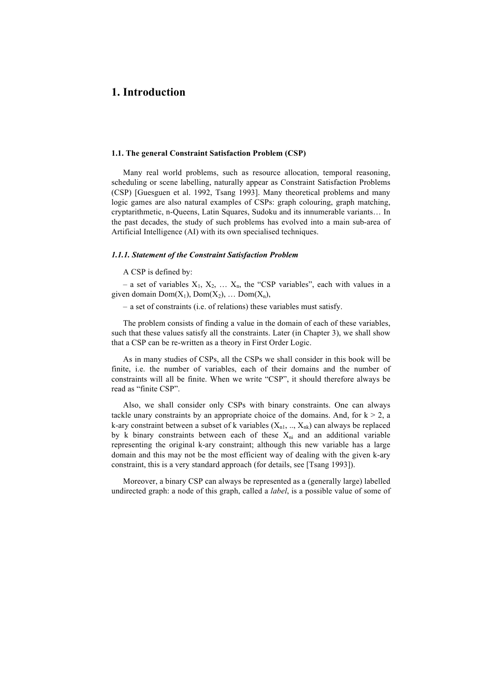# **1. Introduction**

## **1.1. The general Constraint Satisfaction Problem (CSP)**

Many real world problems, such as resource allocation, temporal reasoning, scheduling or scene labelling, naturally appear as Constraint Satisfaction Problems (CSP) [Guesguen et al. 1992, Tsang 1993]. Many theoretical problems and many logic games are also natural examples of CSPs: graph colouring, graph matching, cryptarithmetic, n-Queens, Latin Squares, Sudoku and its innumerable variants… In the past decades, the study of such problems has evolved into a main sub-area of Artificial Intelligence (AI) with its own specialised techniques.

## *1.1.1. Statement of the Constraint Satisfaction Problem*

### A CSP is defined by:

– a set of variables  $X_1, X_2, \ldots X_n$ , the "CSP variables", each with values in a given domain  $Dom(X_1)$ ,  $Dom(X_2)$ , ...  $Dom(X_n)$ ,

– a set of constraints (i.e. of relations) these variables must satisfy.

The problem consists of finding a value in the domain of each of these variables, such that these values satisfy all the constraints. Later (in Chapter 3), we shall show that a CSP can be re-written as a theory in First Order Logic.

As in many studies of CSPs, all the CSPs we shall consider in this book will be finite, i.e. the number of variables, each of their domains and the number of constraints will all be finite. When we write "CSP", it should therefore always be read as "finite CSP".

Also, we shall consider only CSPs with binary constraints. One can always tackle unary constraints by an appropriate choice of the domains. And, for  $k > 2$ , a k-ary constraint between a subset of k variables  $(X_{n1}, ..., X_{nk})$  can always be replaced by k binary constraints between each of these  $X_{ni}$  and an additional variable representing the original k-ary constraint; although this new variable has a large domain and this may not be the most efficient way of dealing with the given k-ary constraint, this is a very standard approach (for details, see [Tsang 1993]).

Moreover, a binary CSP can always be represented as a (generally large) labelled undirected graph: a node of this graph, called a *label*, is a possible value of some of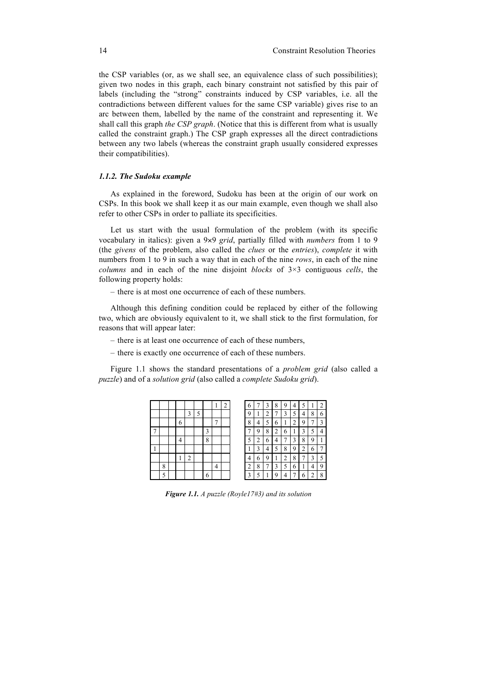the CSP variables (or, as we shall see, an equivalence class of such possibilities); given two nodes in this graph, each binary constraint not satisfied by this pair of labels (including the "strong" constraints induced by CSP variables, i.e. all the contradictions between different values for the same CSP variable) gives rise to an arc between them, labelled by the name of the constraint and representing it. We shall call this graph *the CSP graph*. (Notice that this is different from what is usually called the constraint graph.) The CSP graph expresses all the direct contradictions between any two labels (whereas the constraint graph usually considered expresses their compatibilities).

# *1.1.2. The Sudoku example*

As explained in the foreword, Sudoku has been at the origin of our work on CSPs. In this book we shall keep it as our main example, even though we shall also refer to other CSPs in order to palliate its specificities.

Let us start with the usual formulation of the problem (with its specific vocabulary in italics): given a 9×9 *grid*, partially filled with *numbers* from 1 to 9 (the *givens* of the problem, also called the *clues* or the *entries*), *complete* it with numbers from 1 to 9 in such a way that in each of the nine *rows*, in each of the nine *columns* and in each of the nine disjoint *blocks* of 3×3 contiguous *cells*, the following property holds:

– there is at most one occurrence of each of these numbers.

Although this defining condition could be replaced by either of the following two, which are obviously equivalent to it, we shall stick to the first formulation, for reasons that will appear later:

- there is at least one occurrence of each of these numbers,
- there is exactly one occurrence of each of these numbers.

Figure 1.1 shows the standard presentations of a *problem grid* (also called a *puzzle*) and of a *solution grid* (also called a *complete Sudoku grid*).

|   |   |        |   |   | ı            | ↑<br>∠ | 6              | π | 3      | 8 | 9 | 4 |          |        |   |
|---|---|--------|---|---|--------------|--------|----------------|---|--------|---|---|---|----------|--------|---|
|   |   | 3      | 5 |   |              |        | q              | ı | ◠<br>۷ |   | 3 |   | 4        | 8      | 6 |
|   | 6 |        |   |   | $\mathbf{r}$ |        | 8              | 4 | 5      | 6 |   | ◠ | $\Omega$ |        | ٥ |
|   |   |        |   | ┑ |              |        |                | 9 | 8      | 2 | 6 |   |          |        | 4 |
|   | 4 |        |   | 8 |              |        | 5              | 2 | 6      | 4 |   | 3 | 8        | 9      |   |
|   |   |        |   |   |              |        |                | ٦ | 4      | 5 | 8 | Q | ◠        | 6      |   |
|   |   | ↑<br>∠ |   |   |              |        | л              | 6 | 9      |   | ↑ | 8 |          | າ      | 5 |
| 8 |   |        |   |   | 4            |        | $\overline{2}$ | 8 | ⇁      | 3 | 5 | 6 |          | 4      | q |
| 5 |   |        |   | 6 |              |        | $\mathbf{3}$   | 5 |        | Q |   |   | 6        | ↑<br>∠ | 8 |

*Figure 1.1. A puzzle (Royle17#3) and its solution*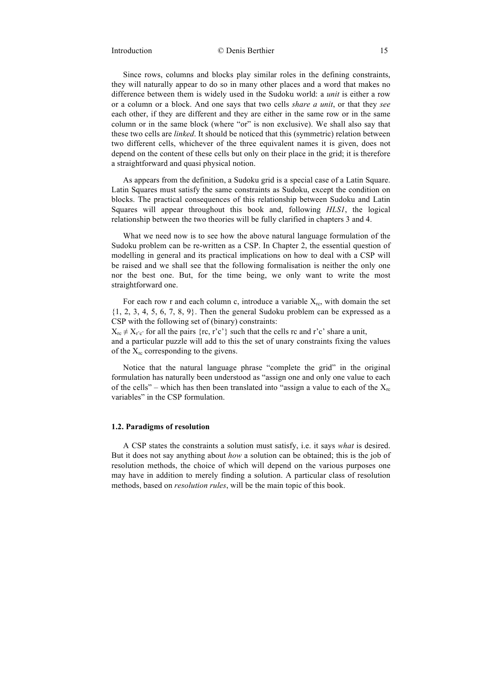# Introduction © Denis Berthier 15

Since rows, columns and blocks play similar roles in the defining constraints, they will naturally appear to do so in many other places and a word that makes no difference between them is widely used in the Sudoku world: a *unit* is either a row or a column or a block. And one says that two cells *share a unit*, or that they *see* each other, if they are different and they are either in the same row or in the same column or in the same block (where "or" is non exclusive). We shall also say that these two cells are *linked*. It should be noticed that this (symmetric) relation between two different cells, whichever of the three equivalent names it is given, does not depend on the content of these cells but only on their place in the grid; it is therefore a straightforward and quasi physical notion.

As appears from the definition, a Sudoku grid is a special case of a Latin Square. Latin Squares must satisfy the same constraints as Sudoku, except the condition on blocks. The practical consequences of this relationship between Sudoku and Latin Squares will appear throughout this book and, following *HLS1*, the logical relationship between the two theories will be fully clarified in chapters 3 and 4.

What we need now is to see how the above natural language formulation of the Sudoku problem can be re-written as a CSP. In Chapter 2, the essential question of modelling in general and its practical implications on how to deal with a CSP will be raised and we shall see that the following formalisation is neither the only one nor the best one. But, for the time being, we only want to write the most straightforward one.

For each row r and each column c, introduce a variable  $X_{rc}$ , with domain the set  ${1, 2, 3, 4, 5, 6, 7, 8, 9}$ . Then the general Sudoku problem can be expressed as a CSP with the following set of (binary) constraints:

 $X_{rc} \neq X_{r'c'}$  for all the pairs {rc, r'c'} such that the cells rc and r'c' share a unit, and a particular puzzle will add to this the set of unary constraints fixing the values of the  $X_{rc}$  corresponding to the givens.

Notice that the natural language phrase "complete the grid" in the original formulation has naturally been understood as "assign one and only one value to each of the cells" – which has then been translated into "assign a value to each of the  $X_{rc}$ variables" in the CSP formulation.

## **1.2. Paradigms of resolution**

A CSP states the constraints a solution must satisfy, i.e. it says *what* is desired. But it does not say anything about *how* a solution can be obtained; this is the job of resolution methods, the choice of which will depend on the various purposes one may have in addition to merely finding a solution. A particular class of resolution methods, based on *resolution rules*, will be the main topic of this book.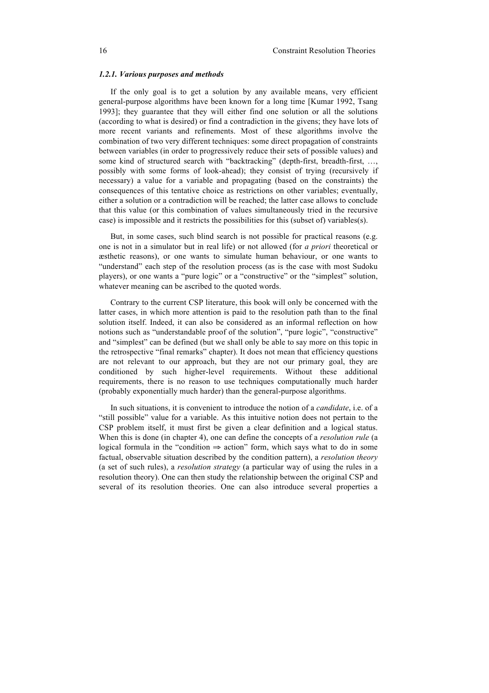## *1.2.1. Various purposes and methods*

If the only goal is to get a solution by any available means, very efficient general-purpose algorithms have been known for a long time [Kumar 1992, Tsang 1993]; they guarantee that they will either find one solution or all the solutions (according to what is desired) or find a contradiction in the givens; they have lots of more recent variants and refinements. Most of these algorithms involve the combination of two very different techniques: some direct propagation of constraints between variables (in order to progressively reduce their sets of possible values) and some kind of structured search with "backtracking" (depth-first, breadth-first, …, possibly with some forms of look-ahead); they consist of trying (recursively if necessary) a value for a variable and propagating (based on the constraints) the consequences of this tentative choice as restrictions on other variables; eventually, either a solution or a contradiction will be reached; the latter case allows to conclude that this value (or this combination of values simultaneously tried in the recursive case) is impossible and it restricts the possibilities for this (subset of) variables(s).

But, in some cases, such blind search is not possible for practical reasons (e.g. one is not in a simulator but in real life) or not allowed (for *a priori* theoretical or æsthetic reasons), or one wants to simulate human behaviour, or one wants to "understand" each step of the resolution process (as is the case with most Sudoku players), or one wants a "pure logic" or a "constructive" or the "simplest" solution, whatever meaning can be ascribed to the quoted words.

Contrary to the current CSP literature, this book will only be concerned with the latter cases, in which more attention is paid to the resolution path than to the final solution itself. Indeed, it can also be considered as an informal reflection on how notions such as "understandable proof of the solution", "pure logic", "constructive" and "simplest" can be defined (but we shall only be able to say more on this topic in the retrospective "final remarks" chapter). It does not mean that efficiency questions are not relevant to our approach, but they are not our primary goal, they are conditioned by such higher-level requirements. Without these additional requirements, there is no reason to use techniques computationally much harder (probably exponentially much harder) than the general-purpose algorithms.

In such situations, it is convenient to introduce the notion of a *candidate*, i.e. of a "still possible" value for a variable. As this intuitive notion does not pertain to the CSP problem itself, it must first be given a clear definition and a logical status. When this is done (in chapter 4), one can define the concepts of a *resolution rule* (a logical formula in the "condition  $\Rightarrow$  action" form, which says what to do in some factual, observable situation described by the condition pattern), a *resolution theory* (a set of such rules), a *resolution strategy* (a particular way of using the rules in a resolution theory). One can then study the relationship between the original CSP and several of its resolution theories. One can also introduce several properties a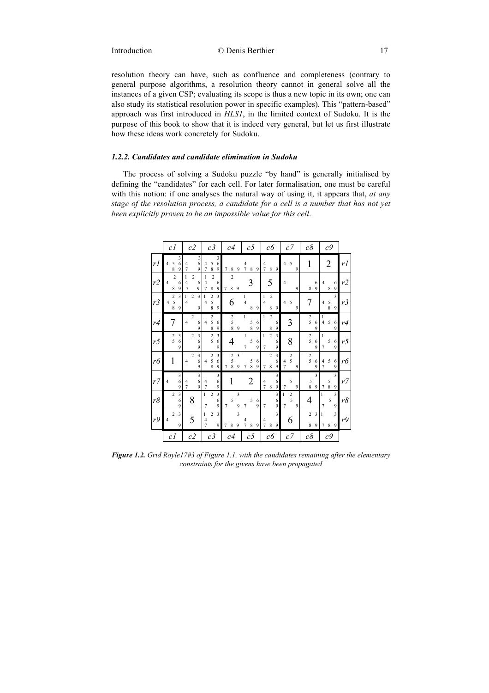resolution theory can have, such as confluence and completeness (contrary to general purpose algorithms, a resolution theory cannot in general solve all the instances of a given CSP; evaluating its scope is thus a new topic in its own; one can also study its statistical resolution power in specific examples). This "pattern-based" approach was first introduced in *HLS1*, in the limited context of Sudoku. It is the purpose of this book to show that it is indeed very general, but let us first illustrate how these ideas work concretely for Sudoku.

# *1.2.2. Candidates and candidate elimination in Sudoku*

The process of solving a Sudoku puzzle "by hand" is generally initialised by defining the "candidates" for each cell. For later formalisation, one must be careful with this notion: if one analyses the natural way of using it, it appears that, *at any stage of the resolution process, a candidate for a cell is a number that has not yet been explicitly proven to be an impossible value for this cell*.

|    | c l                                                                    | c2                                                          | c3                                                                                                | c4                                        | c <sub>5</sub>                                | cб                                                              | c7                                                   | c8                                                   | c9                                        |    |
|----|------------------------------------------------------------------------|-------------------------------------------------------------|---------------------------------------------------------------------------------------------------|-------------------------------------------|-----------------------------------------------|-----------------------------------------------------------------|------------------------------------------------------|------------------------------------------------------|-------------------------------------------|----|
| rl | 3<br>5<br>6<br>4<br>8<br>9                                             | 3<br>6<br>4<br>7<br>9                                       | 3<br>5<br>6<br>4<br>8<br>$\overline{7}$<br>9                                                      | 8<br>9<br>7                               | 4<br>8<br>9<br>7                              | 4<br>$\overline{7}$<br>8<br>9                                   | 5<br>$\overline{4}$<br>9                             | 1                                                    | $\overline{2}$                            | rl |
| r2 | $\overline{2}$<br>$\overline{4}$<br>6<br>9<br>8                        | $\overline{c}$<br>1<br>6<br>4<br>7<br>9                     | $\overline{c}$<br>1<br>4<br>6<br>9<br>$\overline{7}$<br>8                                         | $\overline{c}$<br>7<br>8<br>9             | 3                                             | 5                                                               | $\overline{4}$<br>$\mathbf{Q}$                       | 6<br>9<br>8                                          | 4<br>6<br>9<br>8                          | r2 |
| r3 | 3<br>$\begin{array}{c} 2 \\ 5 \\ 8 \end{array}$<br>$\overline{4}$<br>9 | $\overline{\mathbf{3}}$<br>$\overline{c}$<br>1<br>4<br>9    | $\overline{\mathbf{3}}$<br>$\begin{array}{c} 2 \\ 5 \\ 8 \end{array}$<br>1<br>$\overline{4}$<br>9 | 6                                         | 1<br>$\overline{4}$<br>8<br>9                 | $\overline{c}$<br>1<br>$\overline{4}$<br>8<br>9                 | 5<br>$\overline{4}$<br>9                             | 7                                                    | 3<br>$\frac{5}{8}$<br>$\overline{4}$<br>9 | r3 |
| r4 | 7                                                                      | $\overline{c}$<br>$\overline{4}$<br>6<br>9                  | $\frac{2}{5}$<br>$\overline{4}$<br>6<br>8<br>9                                                    | $\boldsymbol{2}$<br>5<br>$\,$ 8 $\,$<br>9 | $\mathbf{1}$<br>5<br>6<br>$\overline{8}$<br>9 | $\overline{c}$<br>1<br>6<br>9<br>8                              | 3                                                    | $\frac{2}{5}$<br>6<br>9                              | 1<br>5<br>$\overline{4}$<br>6<br>9        | r4 |
| r5 | $\frac{2}{5}$<br>3<br>6<br>9                                           | 3<br>$\overline{c}$<br>6<br>9                               | $\overline{c}$<br>3<br>5<br>6<br>9                                                                | 4                                         | 1<br>5<br>6<br>9<br>$\overline{7}$            | $\overline{c}$<br>$\mathfrak{Z}$<br>$\mathbf{1}$<br>6<br>9<br>7 | 8                                                    | $\frac{2}{5}$<br>6<br>9                              | $\mathbf{1}$<br>5<br>6<br>9<br>7          | r5 |
| r6 | 1                                                                      | $\overline{\mathbf{3}}$<br>2<br>6<br>$\overline{4}$<br>9    | $\frac{2}{5}$<br>3<br>6<br>$\overline{4}$<br>8<br>9                                               | 3<br>$\frac{2}{5}$<br>8<br>9<br>7         | $\frac{5}{8}$<br>6<br>9<br>7                  | 3<br>$\overline{2}$<br>6<br>9<br>8<br>7                         | $\frac{2}{5}$<br>4<br>$\overline{7}$<br>9            | $\frac{2}{5}$<br>6<br>9                              | 5<br>4<br>6<br>$\overline{7}$<br>9        | rб |
| r7 | 3<br>6<br>$\overline{4}$<br>9                                          | $\mathfrak z$<br>6<br>4<br>$\overline{9}$<br>$\overline{7}$ | 3<br>6<br>4<br>$\overline{7}$<br>9                                                                | 1                                         | 2                                             | 3<br>$\overline{4}$<br>6<br>$\overline{7}$<br>8<br>9            | 5<br>$\overline{7}$<br>$\mathbf{Q}$                  | 3<br>$\begin{smallmatrix}5\\8\end{smallmatrix}$<br>9 | 3<br>$\frac{5}{8}$<br>7<br>9              | r7 |
| r8 | 3<br>$\overline{2}$<br>6<br>9                                          | 8                                                           | 3<br>$\mathbf{1}$<br>$\overline{2}$<br>6<br>$\overline{7}$<br>9                                   | 3<br>5<br>9<br>7                          | 5<br>6<br>9<br>7                              | 3<br>6<br>9<br>7                                                | $\mathbf{1}$<br>$\frac{2}{5}$<br>$\overline{7}$<br>9 | 4                                                    | 3<br>$\mathbf{1}$<br>5<br>7<br>9          | r8 |
| r9 | $\overline{\mathbf{3}}$<br>$\overline{c}$<br>$\overline{4}$<br>9       | 5                                                           | 3<br>$\overline{c}$<br>1<br>$\overline{4}$<br>$\overline{7}$<br>9                                 | 3<br>8<br>7<br>9                          | 4<br>8<br>9<br>7                              | $\overline{\mathbf{3}}$<br>4<br>$\overline{7}$<br>8<br>9        | 6                                                    | $\overline{c}$<br>3<br>8<br>9                        | 3<br>1<br>7<br>8<br>9                     | r9 |
|    | c <sub>I</sub>                                                         | c <sub>2</sub>                                              | c <sub>3</sub>                                                                                    | c4                                        | $_{c5}$                                       | cб                                                              | c7                                                   | $c\delta$                                            | c9                                        |    |

*Figure 1.2. Grid Royle17#3 of Figure 1.1, with the candidates remaining after the elementary constraints for the givens have been propagated*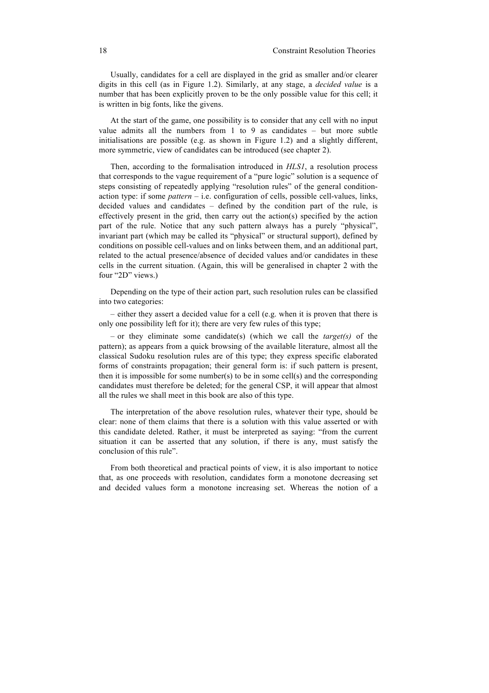Usually, candidates for a cell are displayed in the grid as smaller and/or clearer digits in this cell (as in Figure 1.2). Similarly, at any stage, a *decided value* is a number that has been explicitly proven to be the only possible value for this cell; it is written in big fonts, like the givens.

At the start of the game, one possibility is to consider that any cell with no input value admits all the numbers from 1 to 9 as candidates – but more subtle initialisations are possible (e.g. as shown in Figure 1.2) and a slightly different, more symmetric, view of candidates can be introduced (see chapter 2).

Then, according to the formalisation introduced in *HLS1*, a resolution process that corresponds to the vague requirement of a "pure logic" solution is a sequence of steps consisting of repeatedly applying "resolution rules" of the general conditionaction type: if some *pattern* – i.e. configuration of cells, possible cell-values, links, decided values and candidates – defined by the condition part of the rule, is effectively present in the grid, then carry out the action(s) specified by the action part of the rule. Notice that any such pattern always has a purely "physical", invariant part (which may be called its "physical" or structural support), defined by conditions on possible cell-values and on links between them, and an additional part, related to the actual presence/absence of decided values and/or candidates in these cells in the current situation. (Again, this will be generalised in chapter 2 with the four "2D" views.)

Depending on the type of their action part, such resolution rules can be classified into two categories:

– either they assert a decided value for a cell (e.g. when it is proven that there is only one possibility left for it); there are very few rules of this type;

– or they eliminate some candidate(s) (which we call the *target(s)* of the pattern); as appears from a quick browsing of the available literature, almost all the classical Sudoku resolution rules are of this type; they express specific elaborated forms of constraints propagation; their general form is: if such pattern is present, then it is impossible for some number(s) to be in some cell(s) and the corresponding candidates must therefore be deleted; for the general CSP, it will appear that almost all the rules we shall meet in this book are also of this type.

The interpretation of the above resolution rules, whatever their type, should be clear: none of them claims that there is a solution with this value asserted or with this candidate deleted. Rather, it must be interpreted as saying: "from the current situation it can be asserted that any solution, if there is any, must satisfy the conclusion of this rule".

From both theoretical and practical points of view, it is also important to notice that, as one proceeds with resolution, candidates form a monotone decreasing set and decided values form a monotone increasing set. Whereas the notion of a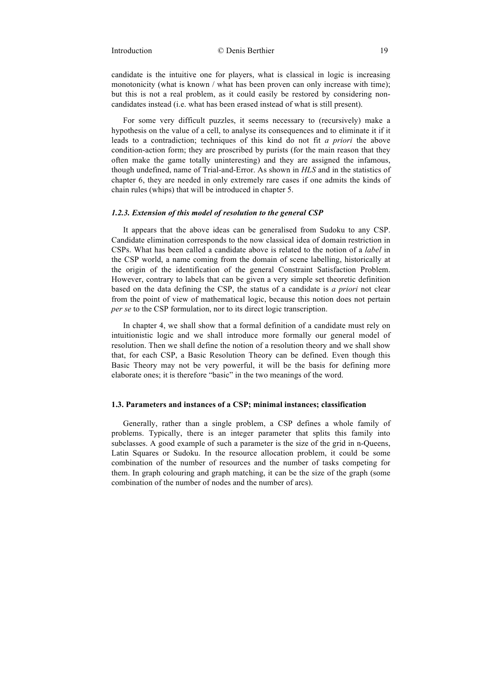candidate is the intuitive one for players, what is classical in logic is increasing monotonicity (what is known / what has been proven can only increase with time); but this is not a real problem, as it could easily be restored by considering noncandidates instead (i.e. what has been erased instead of what is still present).

For some very difficult puzzles, it seems necessary to (recursively) make a hypothesis on the value of a cell, to analyse its consequences and to eliminate it if it leads to a contradiction; techniques of this kind do not fit *a priori* the above condition-action form; they are proscribed by purists (for the main reason that they often make the game totally uninteresting) and they are assigned the infamous, though undefined, name of Trial-and-Error. As shown in *HLS* and in the statistics of chapter 6, they are needed in only extremely rare cases if one admits the kinds of chain rules (whips) that will be introduced in chapter 5.

# *1.2.3. Extension of this model of resolution to the general CSP*

It appears that the above ideas can be generalised from Sudoku to any CSP. Candidate elimination corresponds to the now classical idea of domain restriction in CSPs. What has been called a candidate above is related to the notion of a *label* in the CSP world, a name coming from the domain of scene labelling, historically at the origin of the identification of the general Constraint Satisfaction Problem. However, contrary to labels that can be given a very simple set theoretic definition based on the data defining the CSP, the status of a candidate is *a priori* not clear from the point of view of mathematical logic, because this notion does not pertain *per se* to the CSP formulation, nor to its direct logic transcription.

In chapter 4, we shall show that a formal definition of a candidate must rely on intuitionistic logic and we shall introduce more formally our general model of resolution. Then we shall define the notion of a resolution theory and we shall show that, for each CSP, a Basic Resolution Theory can be defined. Even though this Basic Theory may not be very powerful, it will be the basis for defining more elaborate ones; it is therefore "basic" in the two meanings of the word.

## **1.3. Parameters and instances of a CSP; minimal instances; classification**

Generally, rather than a single problem, a CSP defines a whole family of problems. Typically, there is an integer parameter that splits this family into subclasses. A good example of such a parameter is the size of the grid in n-Queens, Latin Squares or Sudoku. In the resource allocation problem, it could be some combination of the number of resources and the number of tasks competing for them. In graph colouring and graph matching, it can be the size of the graph (some combination of the number of nodes and the number of arcs).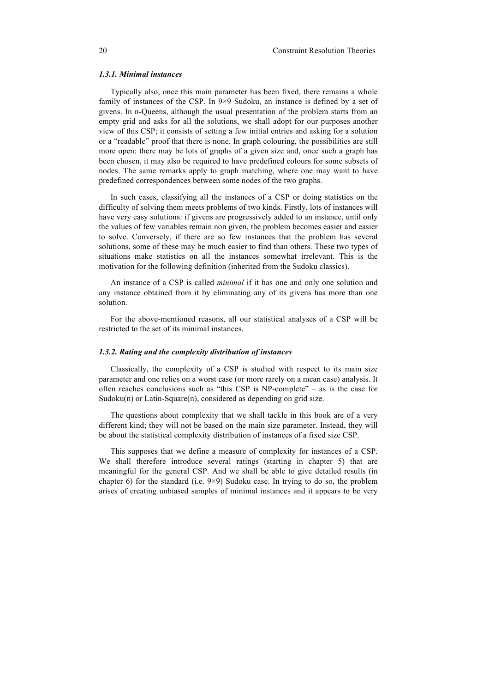## *1.3.1. Minimal instances*

Typically also, once this main parameter has been fixed, there remains a whole family of instances of the CSP. In 9×9 Sudoku, an instance is defined by a set of givens. In n-Queens, although the usual presentation of the problem starts from an empty grid and asks for all the solutions, we shall adopt for our purposes another view of this CSP; it consists of setting a few initial entries and asking for a solution or a "readable" proof that there is none. In graph colouring, the possibilities are still more open: there may be lots of graphs of a given size and, once such a graph has been chosen, it may also be required to have predefined colours for some subsets of nodes. The same remarks apply to graph matching, where one may want to have predefined correspondences between some nodes of the two graphs.

In such cases, classifying all the instances of a CSP or doing statistics on the difficulty of solving them meets problems of two kinds. Firstly, lots of instances will have very easy solutions: if givens are progressively added to an instance, until only the values of few variables remain non given, the problem becomes easier and easier to solve. Conversely, if there are so few instances that the problem has several solutions, some of these may be much easier to find than others. These two types of situations make statistics on all the instances somewhat irrelevant. This is the motivation for the following definition (inherited from the Sudoku classics).

An instance of a CSP is called *minimal* if it has one and only one solution and any instance obtained from it by eliminating any of its givens has more than one solution.

For the above-mentioned reasons, all our statistical analyses of a CSP will be restricted to the set of its minimal instances.

## *1.3.2. Rating and the complexity distribution of instances*

Classically, the complexity of a CSP is studied with respect to its main size parameter and one relies on a worst case (or more rarely on a mean case) analysis. It often reaches conclusions such as "this CSP is NP-complete" – as is the case for Sudoku $(n)$  or Latin-Square $(n)$ , considered as depending on grid size.

The questions about complexity that we shall tackle in this book are of a very different kind; they will not be based on the main size parameter. Instead, they will be about the statistical complexity distribution of instances of a fixed size CSP.

This supposes that we define a measure of complexity for instances of a CSP. We shall therefore introduce several ratings (starting in chapter 5) that are meaningful for the general CSP. And we shall be able to give detailed results (in chapter 6) for the standard (i.e. 9×9) Sudoku case. In trying to do so, the problem arises of creating unbiased samples of minimal instances and it appears to be very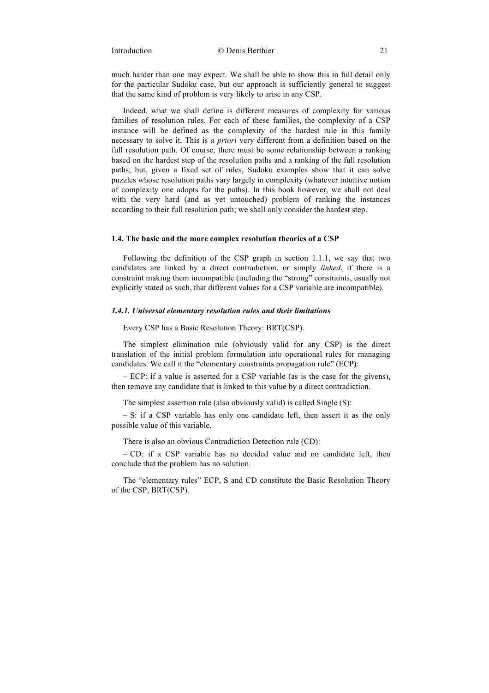Introduction © Denis Berthier 21

much harder than one may expect. We shall be able to show this in full detail only for the particular Sudoku case, but our approach is sufficiently general to suggest that the same kind of problem is very likely to arise in any CSP.

Indeed, what we shall define is different measures of complexity for various families of resolution rules. For each of these families, the complexity of a CSP instance will be defined as the complexity of the hardest rule in this family necessary to solve it. This is *a priori* very different from a definition based on the full resolution path. Of course, there must be some relationship between a ranking based on the hardest step of the resolution paths and a ranking of the full resolution paths; but, given a fixed set of rules, Sudoku examples show that it can solve puzzles whose resolution paths vary largely in complexity (whatever intuitive notion of complexity one adopts for the paths). In this book however, we shall not deal with the very hard (and as yet untouched) problem of ranking the instances according to their full resolution path; we shall only consider the hardest step.

# **1.4. The basic and the more complex resolution theories of a CSP**

Following the definition of the CSP graph in section 1.1.1, we say that two candidates are linked by a direct contradiction, or simply *linked*, if there is a constraint making them incompatible (including the "strong" constraints, usually not explicitly stated as such, that different values for a CSP variable are incompatible).

## *1.4.1. Universal elementary resolution rules and their limitations*

Every CSP has a Basic Resolution Theory: BRT(CSP).

The simplest elimination rule (obviously valid for any CSP) is the direct translation of the initial problem formulation into operational rules for managing candidates. We call it the "elementary constraints propagation rule" (ECP):

– ECP: if a value is asserted for a CSP variable (as is the case for the givens), then remove any candidate that is linked to this value by a direct contradiction.

The simplest assertion rule (also obviously valid) is called Single (S):

– S: if a CSP variable has only one candidate left, then assert it as the only possible value of this variable.

There is also an obvious Contradiction Detection rule (CD):

– CD: if a CSP variable has no decided value and no candidate left, then conclude that the problem has no solution.

The "elementary rules" ECP, S and CD constitute the Basic Resolution Theory of the CSP, BRT(CSP).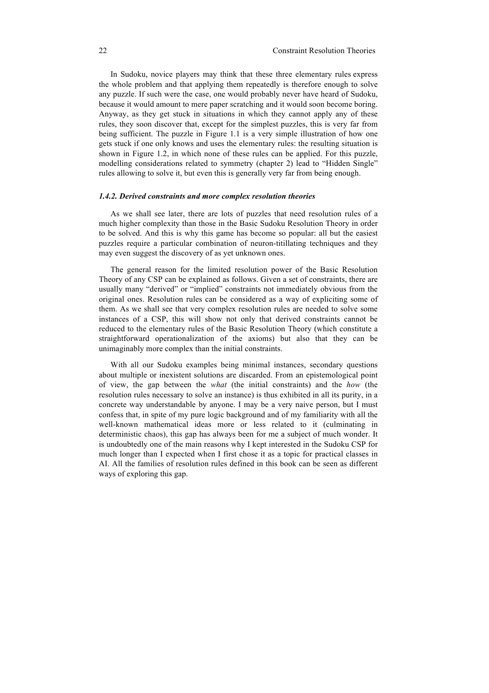In Sudoku, novice players may think that these three elementary rules express the whole problem and that applying them repeatedly is therefore enough to solve any puzzle. If such were the case, one would probably never have heard of Sudoku, because it would amount to mere paper scratching and it would soon become boring. Anyway, as they get stuck in situations in which they cannot apply any of these rules, they soon discover that, except for the simplest puzzles, this is very far from being sufficient. The puzzle in Figure 1.1 is a very simple illustration of how one gets stuck if one only knows and uses the elementary rules: the resulting situation is shown in Figure 1.2, in which none of these rules can be applied. For this puzzle, modelling considerations related to symmetry (chapter 2) lead to "Hidden Single" rules allowing to solve it, but even this is generally very far from being enough.

## *1.4.2. Derived constraints and more complex resolution theories*

As we shall see later, there are lots of puzzles that need resolution rules of a much higher complexity than those in the Basic Sudoku Resolution Theory in order to be solved. And this is why this game has become so popular: all but the easiest puzzles require a particular combination of neuron-titillating techniques and they may even suggest the discovery of as yet unknown ones.

The general reason for the limited resolution power of the Basic Resolution Theory of any CSP can be explained as follows. Given a set of constraints, there are usually many "derived" or "implied" constraints not immediately obvious from the original ones. Resolution rules can be considered as a way of expliciting some of them. As we shall see that very complex resolution rules are needed to solve some instances of a CSP, this will show not only that derived constraints cannot be reduced to the elementary rules of the Basic Resolution Theory (which constitute a straightforward operationalization of the axioms) but also that they can be unimaginably more complex than the initial constraints.

With all our Sudoku examples being minimal instances, secondary questions about multiple or inexistent solutions are discarded. From an epistemological point of view, the gap between the *what* (the initial constraints) and the *how* (the resolution rules necessary to solve an instance) is thus exhibited in all its purity, in a concrete way understandable by anyone. I may be a very naive person, but I must confess that, in spite of my pure logic background and of my familiarity with all the well-known mathematical ideas more or less related to it (culminating in deterministic chaos), this gap has always been for me a subject of much wonder. It is undoubtedly one of the main reasons why I kept interested in the Sudoku CSP for much longer than I expected when I first chose it as a topic for practical classes in AI. All the families of resolution rules defined in this book can be seen as different ways of exploring this gap.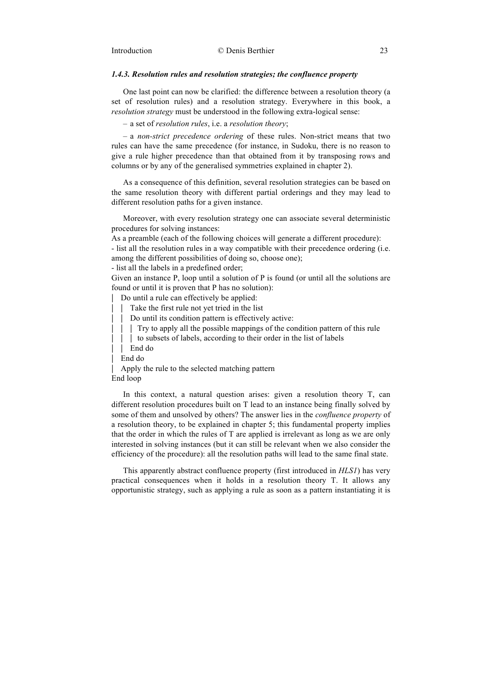# *1.4.3. Resolution rules and resolution strategies; the confluence property*

One last point can now be clarified: the difference between a resolution theory (a set of resolution rules) and a resolution strategy. Everywhere in this book, a *resolution strategy* must be understood in the following extra-logical sense:

– a set of *resolution rules*, i.e. a *resolution theory*;

– a *non-strict precedence ordering* of these rules. Non-strict means that two rules can have the same precedence (for instance, in Sudoku, there is no reason to give a rule higher precedence than that obtained from it by transposing rows and columns or by any of the generalised symmetries explained in chapter 2).

As a consequence of this definition, several resolution strategies can be based on the same resolution theory with different partial orderings and they may lead to different resolution paths for a given instance.

Moreover, with every resolution strategy one can associate several deterministic procedures for solving instances:

As a preamble (each of the following choices will generate a different procedure):

- list all the resolution rules in a way compatible with their precedence ordering (i.e. among the different possibilities of doing so, choose one);

- list all the labels in a predefined order;

Given an instance P, loop until a solution of P is found (or until all the solutions are found or until it is proven that P has no solution):

⎢ Do until a rule can effectively be applied:

- | Take the first rule not yet tried in the list
- Do until its condition pattern is effectively active:
- **Try to apply all the possible mappings of the condition pattern of this rule**
- $\vert \vert$   $\vert$  to subsets of labels, according to their order in the list of labels
	- $I$  End do

End do

Apply the rule to the selected matching pattern End loop

In this context, a natural question arises: given a resolution theory T, can different resolution procedures built on T lead to an instance being finally solved by some of them and unsolved by others? The answer lies in the *confluence property* of a resolution theory, to be explained in chapter 5; this fundamental property implies that the order in which the rules of T are applied is irrelevant as long as we are only interested in solving instances (but it can still be relevant when we also consider the efficiency of the procedure): all the resolution paths will lead to the same final state.

This apparently abstract confluence property (first introduced in *HLS1*) has very practical consequences when it holds in a resolution theory T. It allows any opportunistic strategy, such as applying a rule as soon as a pattern instantiating it is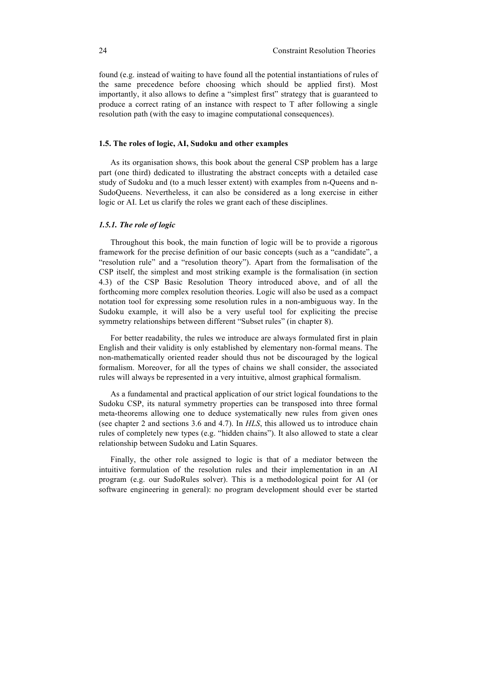found (e.g. instead of waiting to have found all the potential instantiations of rules of the same precedence before choosing which should be applied first). Most importantly, it also allows to define a "simplest first" strategy that is guaranteed to produce a correct rating of an instance with respect to T after following a single resolution path (with the easy to imagine computational consequences).

## **1.5. The roles of logic, AI, Sudoku and other examples**

As its organisation shows, this book about the general CSP problem has a large part (one third) dedicated to illustrating the abstract concepts with a detailed case study of Sudoku and (to a much lesser extent) with examples from n-Queens and n-SudoQueens. Nevertheless, it can also be considered as a long exercise in either logic or AI. Let us clarify the roles we grant each of these disciplines.

# *1.5.1. The role of logic*

Throughout this book, the main function of logic will be to provide a rigorous framework for the precise definition of our basic concepts (such as a "candidate", a "resolution rule" and a "resolution theory"). Apart from the formalisation of the CSP itself, the simplest and most striking example is the formalisation (in section 4.3) of the CSP Basic Resolution Theory introduced above, and of all the forthcoming more complex resolution theories. Logic will also be used as a compact notation tool for expressing some resolution rules in a non-ambiguous way. In the Sudoku example, it will also be a very useful tool for expliciting the precise symmetry relationships between different "Subset rules" (in chapter 8).

For better readability, the rules we introduce are always formulated first in plain English and their validity is only established by elementary non-formal means. The non-mathematically oriented reader should thus not be discouraged by the logical formalism. Moreover, for all the types of chains we shall consider, the associated rules will always be represented in a very intuitive, almost graphical formalism.

As a fundamental and practical application of our strict logical foundations to the Sudoku CSP, its natural symmetry properties can be transposed into three formal meta-theorems allowing one to deduce systematically new rules from given ones (see chapter 2 and sections 3.6 and 4.7). In *HLS*, this allowed us to introduce chain rules of completely new types (e.g. "hidden chains"). It also allowed to state a clear relationship between Sudoku and Latin Squares.

Finally, the other role assigned to logic is that of a mediator between the intuitive formulation of the resolution rules and their implementation in an AI program (e.g. our SudoRules solver). This is a methodological point for AI (or software engineering in general): no program development should ever be started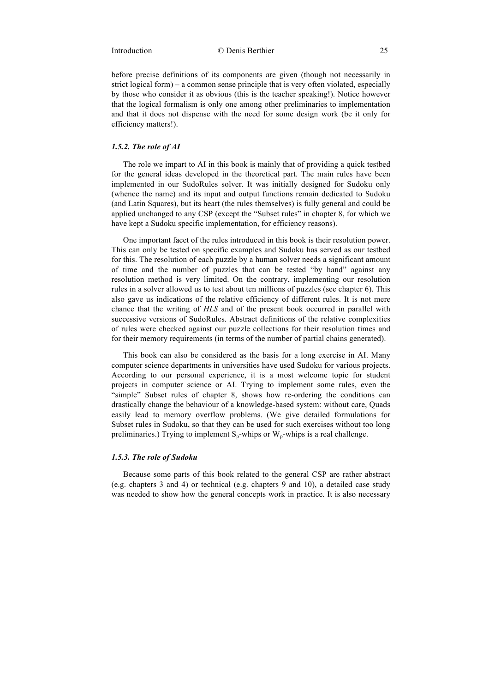before precise definitions of its components are given (though not necessarily in strict logical form) – a common sense principle that is very often violated, especially by those who consider it as obvious (this is the teacher speaking!). Notice however that the logical formalism is only one among other preliminaries to implementation and that it does not dispense with the need for some design work (be it only for efficiency matters!).

### *1.5.2. The role of AI*

The role we impart to AI in this book is mainly that of providing a quick testbed for the general ideas developed in the theoretical part. The main rules have been implemented in our SudoRules solver. It was initially designed for Sudoku only (whence the name) and its input and output functions remain dedicated to Sudoku (and Latin Squares), but its heart (the rules themselves) is fully general and could be applied unchanged to any CSP (except the "Subset rules" in chapter 8, for which we have kept a Sudoku specific implementation, for efficiency reasons).

One important facet of the rules introduced in this book is their resolution power. This can only be tested on specific examples and Sudoku has served as our testbed for this. The resolution of each puzzle by a human solver needs a significant amount of time and the number of puzzles that can be tested "by hand" against any resolution method is very limited. On the contrary, implementing our resolution rules in a solver allowed us to test about ten millions of puzzles (see chapter 6). This also gave us indications of the relative efficiency of different rules. It is not mere chance that the writing of *HLS* and of the present book occurred in parallel with successive versions of SudoRules. Abstract definitions of the relative complexities of rules were checked against our puzzle collections for their resolution times and for their memory requirements (in terms of the number of partial chains generated).

This book can also be considered as the basis for a long exercise in AI. Many computer science departments in universities have used Sudoku for various projects. According to our personal experience, it is a most welcome topic for student projects in computer science or AI. Trying to implement some rules, even the "simple" Subset rules of chapter 8, shows how re-ordering the conditions can drastically change the behaviour of a knowledge-based system: without care, Quads easily lead to memory overflow problems. (We give detailed formulations for Subset rules in Sudoku, so that they can be used for such exercises without too long preliminaries.) Trying to implement  $S_p$ -whips or  $W_p$ -whips is a real challenge.

## *1.5.3. The role of Sudoku*

Because some parts of this book related to the general CSP are rather abstract (e.g. chapters 3 and 4) or technical (e.g. chapters 9 and 10), a detailed case study was needed to show how the general concepts work in practice. It is also necessary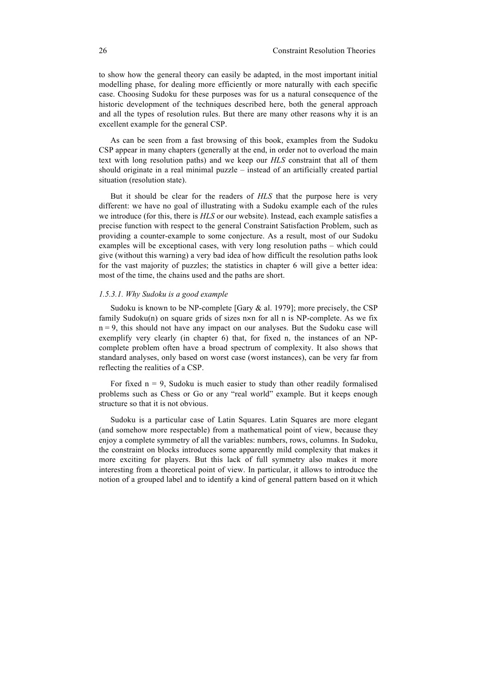to show how the general theory can easily be adapted, in the most important initial modelling phase, for dealing more efficiently or more naturally with each specific case. Choosing Sudoku for these purposes was for us a natural consequence of the historic development of the techniques described here, both the general approach and all the types of resolution rules. But there are many other reasons why it is an excellent example for the general CSP.

As can be seen from a fast browsing of this book, examples from the Sudoku CSP appear in many chapters (generally at the end, in order not to overload the main text with long resolution paths) and we keep our *HLS* constraint that all of them should originate in a real minimal puzzle – instead of an artificially created partial situation (resolution state).

But it should be clear for the readers of *HLS* that the purpose here is very different: we have no goal of illustrating with a Sudoku example each of the rules we introduce (for this, there is *HLS* or our website). Instead, each example satisfies a precise function with respect to the general Constraint Satisfaction Problem, such as providing a counter-example to some conjecture. As a result, most of our Sudoku examples will be exceptional cases, with very long resolution paths – which could give (without this warning) a very bad idea of how difficult the resolution paths look for the vast majority of puzzles; the statistics in chapter 6 will give a better idea: most of the time, the chains used and the paths are short.

# *1.5.3.1. Why Sudoku is a good example*

Sudoku is known to be NP-complete [Gary & al. 1979]; more precisely, the CSP family Sudoku(n) on square grids of sizes n×n for all n is NP-complete. As we fix  $n = 9$ , this should not have any impact on our analyses. But the Sudoku case will exemplify very clearly (in chapter 6) that, for fixed n, the instances of an NPcomplete problem often have a broad spectrum of complexity. It also shows that standard analyses, only based on worst case (worst instances), can be very far from reflecting the realities of a CSP.

For fixed  $n = 9$ . Sudoku is much easier to study than other readily formalised problems such as Chess or Go or any "real world" example. But it keeps enough structure so that it is not obvious.

Sudoku is a particular case of Latin Squares. Latin Squares are more elegant (and somehow more respectable) from a mathematical point of view, because they enjoy a complete symmetry of all the variables: numbers, rows, columns. In Sudoku, the constraint on blocks introduces some apparently mild complexity that makes it more exciting for players. But this lack of full symmetry also makes it more interesting from a theoretical point of view. In particular, it allows to introduce the notion of a grouped label and to identify a kind of general pattern based on it which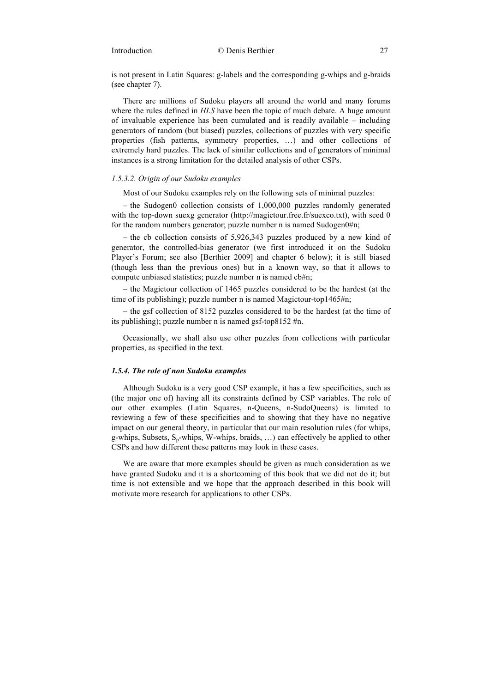is not present in Latin Squares: g-labels and the corresponding g-whips and g-braids (see chapter 7).

There are millions of Sudoku players all around the world and many forums where the rules defined in *HLS* have been the topic of much debate. A huge amount of invaluable experience has been cumulated and is readily available – including generators of random (but biased) puzzles, collections of puzzles with very specific properties (fish patterns, symmetry properties, …) and other collections of extremely hard puzzles. The lack of similar collections and of generators of minimal instances is a strong limitation for the detailed analysis of other CSPs.

## *1.5.3.2. Origin of our Sudoku examples*

Most of our Sudoku examples rely on the following sets of minimal puzzles:

– the Sudogen0 collection consists of 1,000,000 puzzles randomly generated with the top-down suexg generator (http://magictour.free.fr/suexco.txt), with seed 0 for the random numbers generator; puzzle number n is named Sudogen0#n;

– the cb collection consists of 5,926,343 puzzles produced by a new kind of generator, the controlled-bias generator (we first introduced it on the Sudoku Player's Forum; see also [Berthier 2009] and chapter 6 below); it is still biased (though less than the previous ones) but in a known way, so that it allows to compute unbiased statistics; puzzle number n is named cb#n;

– the Magictour collection of 1465 puzzles considered to be the hardest (at the time of its publishing); puzzle number n is named Magictour-top1465#n;

– the gsf collection of 8152 puzzles considered to be the hardest (at the time of its publishing); puzzle number n is named gsf-top8152 #n.

Occasionally, we shall also use other puzzles from collections with particular properties, as specified in the text.

## *1.5.4. The role of non Sudoku examples*

Although Sudoku is a very good CSP example, it has a few specificities, such as (the major one of) having all its constraints defined by CSP variables. The role of our other examples (Latin Squares, n-Queens, n-SudoQueens) is limited to reviewing a few of these specificities and to showing that they have no negative impact on our general theory, in particular that our main resolution rules (for whips, g-whips, Subsets,  $S_n$ -whips, W-whips, braids, ...) can effectively be applied to other CSPs and how different these patterns may look in these cases.

We are aware that more examples should be given as much consideration as we have granted Sudoku and it is a shortcoming of this book that we did not do it; but time is not extensible and we hope that the approach described in this book will motivate more research for applications to other CSPs.